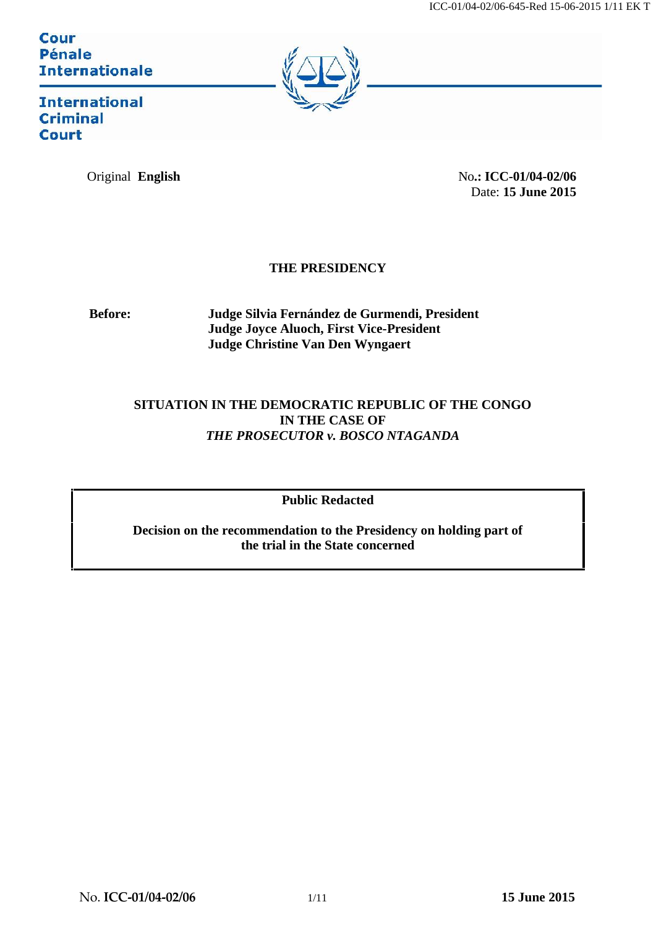Cour **Pénale Internationale** 



**International Criminal Court** 

Original **English** No**.: ICC-01/04-02/06** Date: **15 June 2015**

### **THE PRESIDENCY**

**Before: Judge Silvia Fernández de Gurmendi, President Judge Joyce Aluoch, First Vice-President Judge Christine Van Den Wyngaert**

### **SITUATION IN THE DEMOCRATIC REPUBLIC OF THE CONGO IN THE CASE OF** *THE PROSECUTOR v. BOSCO NTAGANDA*

**Public Redacted**

**Decision on the recommendation to the Presidency on holding part of the trial in the State concerned**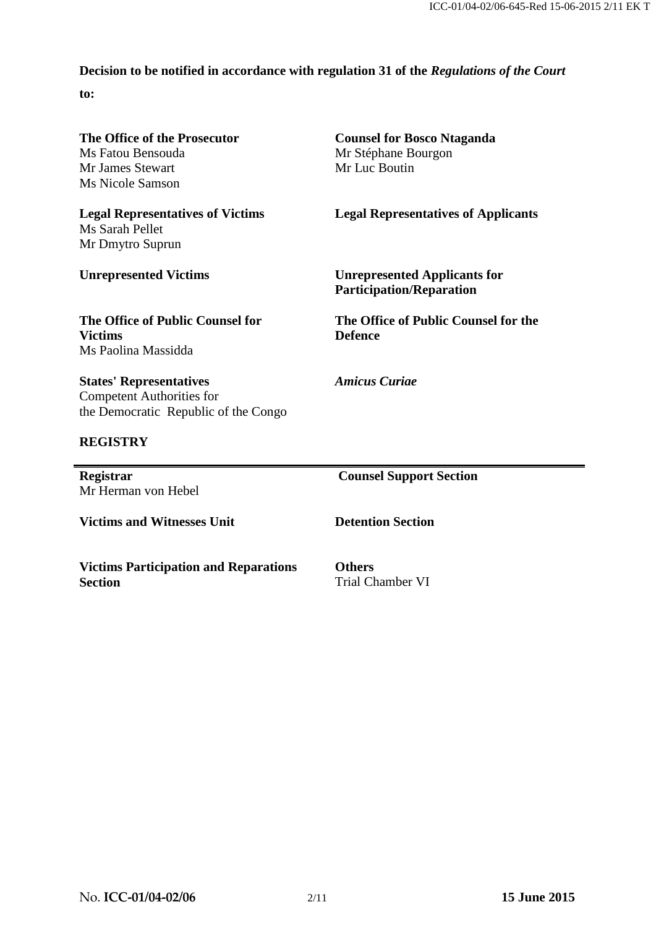## **Decision to be notified in accordance with regulation 31 of the** *Regulations of the Court*

**to:**

| The Office of the Prosecutor<br>Ms Fatou Bensouda<br>Mr James Stewart<br>Ms Nicole Samson<br><b>Legal Representatives of Victims</b><br>Ms Sarah Pellet<br>Mr Dmytro Suprun<br><b>Unrepresented Victims</b><br>The Office of Public Counsel for<br><b>Victims</b><br>Ms Paolina Massidda | <b>Counsel for Bosco Ntaganda</b><br>Mr Stéphane Bourgon<br>Mr Luc Boutin<br><b>Legal Representatives of Applicants</b><br><b>Unrepresented Applicants for</b><br><b>Participation/Reparation</b><br>The Office of Public Counsel for the<br><b>Defence</b> |                                                                                                            |                                |
|------------------------------------------------------------------------------------------------------------------------------------------------------------------------------------------------------------------------------------------------------------------------------------------|-------------------------------------------------------------------------------------------------------------------------------------------------------------------------------------------------------------------------------------------------------------|------------------------------------------------------------------------------------------------------------|--------------------------------|
|                                                                                                                                                                                                                                                                                          |                                                                                                                                                                                                                                                             | <b>States' Representatives</b><br><b>Competent Authorities for</b><br>the Democratic Republic of the Congo | <b>Amicus Curiae</b>           |
|                                                                                                                                                                                                                                                                                          |                                                                                                                                                                                                                                                             | <b>REGISTRY</b>                                                                                            |                                |
|                                                                                                                                                                                                                                                                                          |                                                                                                                                                                                                                                                             | Registrar<br>Mr Herman von Hebel                                                                           | <b>Counsel Support Section</b> |
| <b>Victims and Witnesses Unit</b>                                                                                                                                                                                                                                                        | <b>Detention Section</b>                                                                                                                                                                                                                                    |                                                                                                            |                                |
| <b>Victims Participation and Reparations</b><br>Section                                                                                                                                                                                                                                  | <b>Others</b><br><b>Trial Chamber VI</b>                                                                                                                                                                                                                    |                                                                                                            |                                |

<u>expertise</u>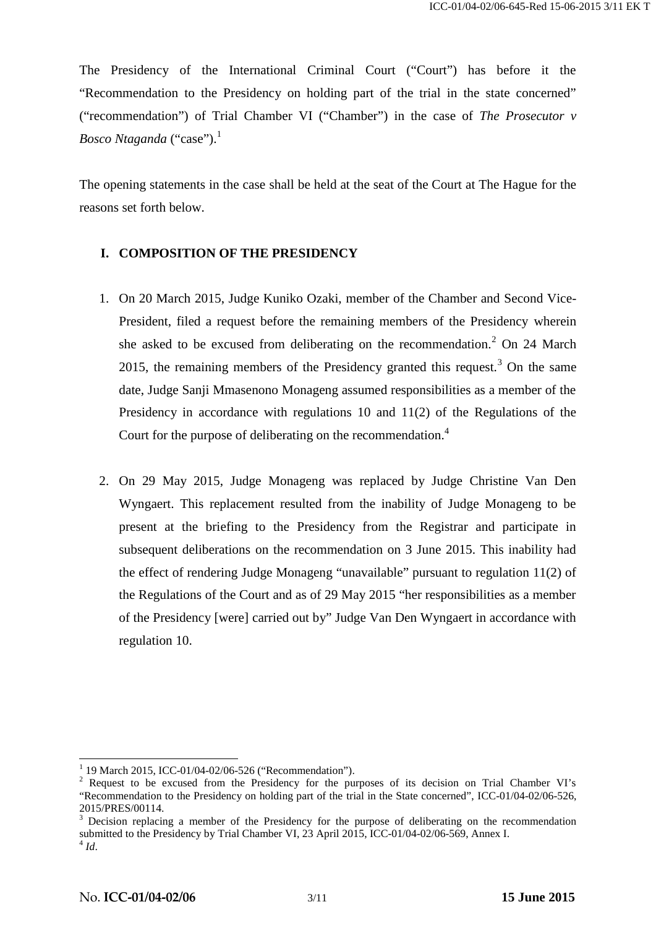The Presidency of the International Criminal Court ("Court") has before it the "Recommendation to the Presidency on holding part of the trial in the state concerned" ("recommendation") of Trial Chamber VI ("Chamber") in the case of *The Prosecutor v Bosco Ntaganda* ("case").<sup>1</sup>

The opening statements in the case shall be held at the seat of the Court at The Hague for the reasons set forth below.

### **I. COMPOSITION OF THE PRESIDENCY**

- 1. On 20 March 2015, Judge Kuniko Ozaki, member of the Chamber and Second Vice- President, filed a request before the remaining members of the Presidency wherein she asked to be excused from deliberating on the recommendation.<sup>2</sup> On 24 March 2015, the remaining members of the Presidency granted this request.<sup>3</sup> On the same date, Judge Sanji Mmasenono Monageng assumed responsibilities as a member of the Presidency in accordance with regulations 10 and 11(2) of the Regulations of the Court for the purpose of deliberating on the recommendation.<sup>4</sup>
- 2. On 29 May 2015, Judge Monageng was replaced by Judge Christine Van Den Wyngaert. This replacement resulted from the inability of Judge Monageng to be present at the briefing to the Presidency from the Registrar and participate in subsequent deliberations on the recommendation on 3 June 2015. This inability had the effect of rendering Judge Monageng "unavailable" pursuant to regulation 11(2) of the Regulations of the Court and as of 29 May 2015 "her responsibilities as a member of the Presidency [were] carried out by" Judge Van Den Wyngaert in accordance with regulation 10.

<sup>&</sup>lt;sup>1</sup> 19 March 2015, ICC-01/04-02/06-526 ("Recommendation").<br><sup>2</sup> Request to be excused from the Presidency for the purposes of its decision on Trial Chamber VI's "Recommendation to the Presidency on holding part of the trial in the State concerned", ICC-01/04-02/06-526,

<sup>2015/</sup>PRES/00114.<br> $3$  Decision replacing a member of the Presidency for the purpose of deliberating on the recommendation submitted to the Presidency by Trial Chamber VI, 23 April 2015, ICC-01/04-02/06-569, Annex I. <sup>4</sup> *Id*.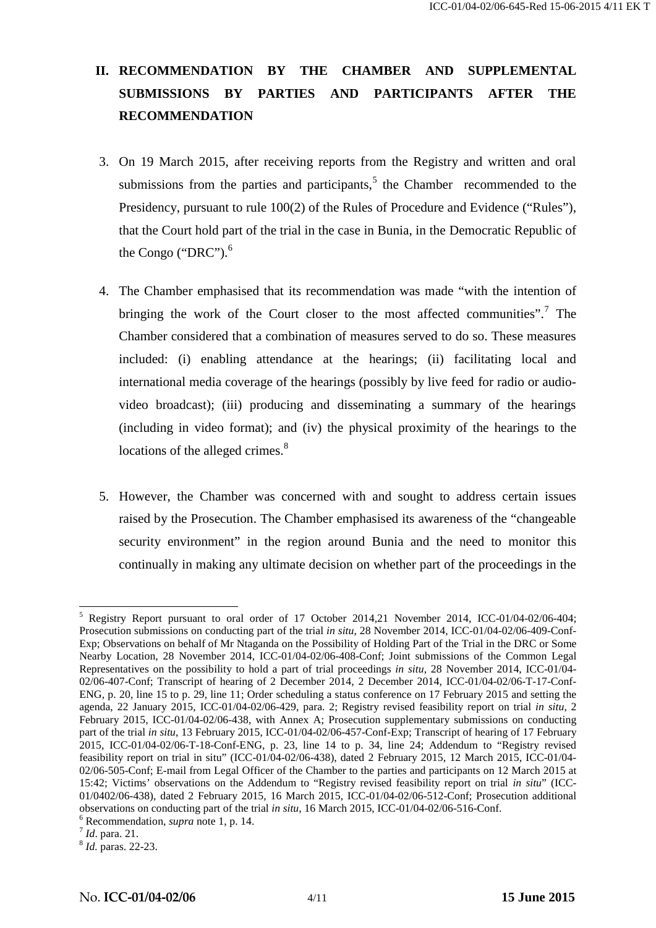# **II. RECOMMENDATION BY THE CHAMBER AND SUPPLEMENTAL SUBMISSIONS BY PARTIES AND PARTICIPANTS AFTER THE RECOMMENDATION**

- 3. On 19 March 2015, after receiving reports from the Registry and written and oral submissions from the parties and participants, $5$  the Chamber recommended to the Presidency, pursuant to rule 100(2) of the Rules of Procedure and Evidence ("Rules"), that the Court hold part of the trial in the case in Bunia, in the Democratic Republic of the Congo ("DRC").<sup>6</sup>
- 4. The Chamber emphasised that its recommendation was made "with the intention of bringing the work of the Court closer to the most affected communities".<sup>7</sup> The Chamber considered that a combination of measures served to do so. These measures included: (i) enabling attendance at the hearings; (ii) facilitating local and international media coverage of the hearings (possibly by live feed for radio or audio video broadcast); (iii) producing and disseminating a summary of the hearings (including in video format); and (iv) the physical proximity of the hearings to the locations of the alleged crimes.<sup>8</sup>
- 5. However, the Chamber was concerned with and sought to address certain issues raised by the Prosecution. The Chamber emphasised its awareness of the "changeable security environment" in the region around Bunia and the need to monitor this continually in making any ultimate decision on whether part of the proceedings in the

<sup>&</sup>lt;sup>5</sup> Registry Report pursuant to oral order of 17 October 2014,21 November 2014, ICC-01/04-02/06-404; Prosecution submissions on conducting part of the trial *in situ*, 28 November 2014, ICC-01/04-02/06-409-Conf- Exp; Observations on behalf of Mr Ntaganda on the Possibility of Holding Part of the Trial in the DRC or Some Nearby Location, 28 November 2014, ICC-01/04-02/06-408-Conf; Joint submissions of the Common Legal Representatives on the possibility to hold a part of trial proceedings *in situ*, 28 November 2014, ICC-01/04- 02/06-407-Conf; Transcript of hearing of 2 December 2014, 2 December 2014, ICC-01/04-02/06-T-17-Conf- ENG, p. 20, line 15 to p. 29, line 11; Order scheduling a status conference on 17 February 2015 and setting the agenda, 22 January 2015, ICC-01/04-02/06-429, para. 2; Registry revised feasibility report on trial *in situ*, 2 February 2015, ICC-01/04-02/06-438, with Annex A; Prosecution supplementary submissions on conducting part of the trial *in situ*, 13 February 2015, ICC-01/04-02/06-457-Conf-Exp; Transcript of hearing of 17 February 2015, ICC-01/04-02/06-T-18-Conf-ENG, p. 23, line 14 to p. 34, line 24; Addendum to "Registry revised feasibility report on trial in situ" (ICC-01/04-02/06-438), dated 2 February 2015, 12 March 2015, ICC-01/04- 02/06-505-Conf; E-mail from Legal Officer of the Chamber to the parties and participants on 12 March 2015 at 15:42; Victims' observations on the Addendum to "Registry revised feasibility report on trial *in situ*" (ICC- 01/0402/06-438), dated 2 February 2015, 16 March 2015, ICC-01/04-02/06-512-Conf; Prosecution additional observations on conducting part of the trial *in situ*, 16 March 2015, ICC-01/04-02/06-516-Conf.<br>
<sup>6</sup> Recommendation, *supra* note 1, p. 14.<br>
<sup>7</sup> *Id.* para. 21.<br>
<sup>8</sup> *Id.* paras. 22-23.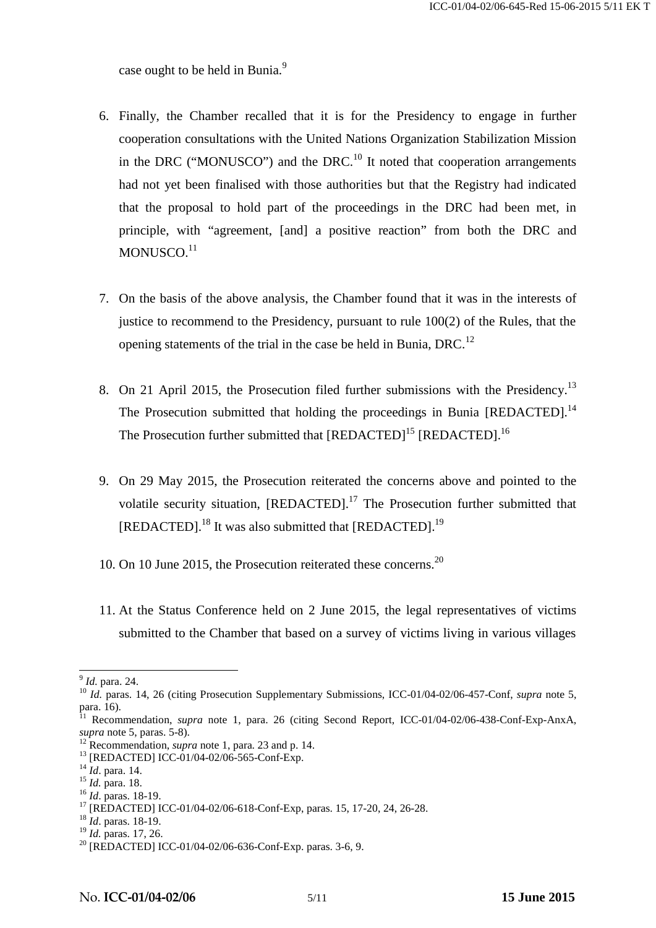case ought to be held in Bunia.<sup>9</sup>

- 6. Finally, the Chamber recalled that it is for the Presidency to engage in further cooperation consultations with the United Nations Organization Stabilization Mission in the DRC ("MONUSCO") and the DRC.<sup>10</sup> It noted that cooperation arrangements had not yet been finalised with those authorities but that the Registry had indicated that the proposal to hold part of the proceedings in the DRC had been met, in principle, with "agreement, [and] a positive reaction" from both the DRC and MONUSCO.<sup>11</sup>
- 7. On the basis of the above analysis, the Chamber found that it was in the interests of justice to recommend to the Presidency, pursuant to rule 100(2) of the Rules, that the opening statements of the trial in the case be held in Bunia, DRC.<sup>12</sup>
- 8. On 21 April 2015, the Prosecution filed further submissions with the Presidency.<sup>13</sup> The Prosecution submitted that holding the proceedings in Bunia [REDACTED].<sup>14</sup> The Prosecution further submitted that [REDACTED]<sup>15</sup> [REDACTED].<sup>16</sup>
- 9. On 29 May 2015, the Prosecution reiterated the concerns above and pointed to the volatile security situation,  $[REDACTED]$ <sup>17</sup>. The Prosecution further submitted that [REDACTED].<sup>18</sup> It was also submitted that [REDACTED].<sup>19</sup>
- 10. On 10 June 2015, the Prosecution reiterated these concerns.<sup>20</sup>
- 11. At the Status Conference held on 2 June 2015, the legal representatives of victims submitted to the Chamber that based on a survey of victims living in various villages

<sup>&</sup>lt;sup>9</sup> *Id.* para. 24. <sup>10</sup> *Id.* paras. 14, 26 (citing Prosecution Supplementary Submissions, ICC-01/04-02/06-457-Conf, *supra* note 5, para. 16).

<sup>&</sup>lt;sup>1</sup> Recommendation, *supra* note 1, para. 26 (citing Second Report, ICC-01/04-02/06-438-Conf-Exp-AnxA, supra note 5, paras. 5-8).<br>
<sup>12</sup> Recommendation, *supra* note 1, para. 23 and p. 14.<br>
<sup>13</sup> [REDACTED] ICC-01/04-02/06-565-Conf-Exp.<br>
<sup>14</sup> *Id.* para. 14.<br>
<sup>15</sup> *Id.* para. 18.<br>
<sup>16</sup> *Id.* paras. 18-19.<br>
<sup>17</sup> [REDACTED] IC

<sup>&</sup>lt;sup>20</sup> [REDACTED] ICC-01/04-02/06-636-Conf-Exp. paras. 3-6, 9.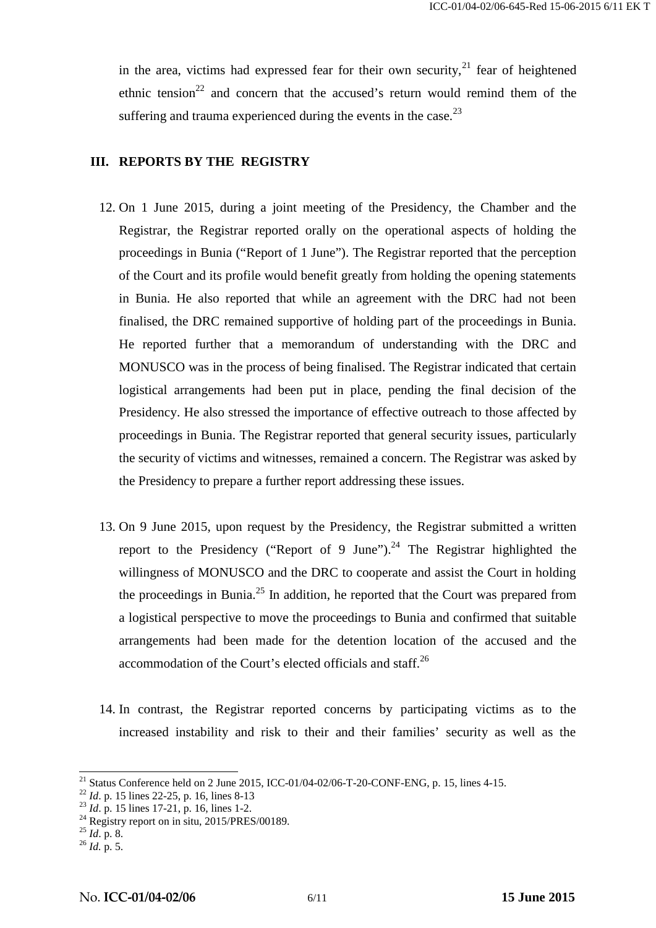in the area, victims had expressed fear for their own security.<sup>21</sup> fear of heightened ethnic tension<sup>22</sup> and concern that the accused's return would remind them of the suffering and trauma experienced during the events in the case. $^{23}$ 

#### **III. REPORTS BY THE REGISTRY**

- 12. On 1 June 2015, during a joint meeting of the Presidency, the Chamber and the Registrar, the Registrar reported orally on the operational aspects of holding the proceedings in Bunia ("Report of 1 June"). The Registrar reported that the perception of the Court and its profile would benefit greatly from holding the opening statements in Bunia. He also reported that while an agreement with the DRC had not been finalised, the DRC remained supportive of holding part of the proceedings in Bunia. He reported further that a memorandum of understanding with the DRC and MONUSCO was in the process of being finalised. The Registrar indicated that certain logistical arrangements had been put in place, pending the final decision of the Presidency. He also stressed the importance of effective outreach to those affected by proceedings in Bunia. The Registrar reported that general security issues, particularly the security of victims and witnesses, remained a concern. The Registrar was asked by the Presidency to prepare a further report addressing these issues.
- 13. On 9 June 2015, upon request by the Presidency, the Registrar submitted a written report to the Presidency ("Report of 9 June").<sup>24</sup> The Registrar highlighted the willingness of MONUSCO and the DRC to cooperate and assist the Court in holding the proceedings in Bunia.<sup>25</sup> In addition, he reported that the Court was prepared from a logistical perspective to move the proceedings to Bunia and confirmed that suitable arrangements had been made for the detention location of the accused and the accommodation of the Court's elected officials and staff.<sup>26</sup>
- 14. In contrast, the Registrar reported concerns by participating victims as to the increased instability and risk to their and their families' security as well as the

<sup>&</sup>lt;sup>21</sup> Status Conference held on 2 June 2015, ICC-01/04-02/06-T-20-CONF-ENG, p. 15, lines 4-15.<br><sup>22</sup> *Id*. p. 15 lines 22-25, p. 16, lines 8-13<br><sup>23</sup> *Id*. p. 15 lines 17-21, p. 16, lines 1-2.

<sup>&</sup>lt;sup>24</sup> Registry report on in situ, 2015/PRES/00189.<br><sup>25</sup> *Id.* p. 8. <sup>26</sup> *Id.* p. 5.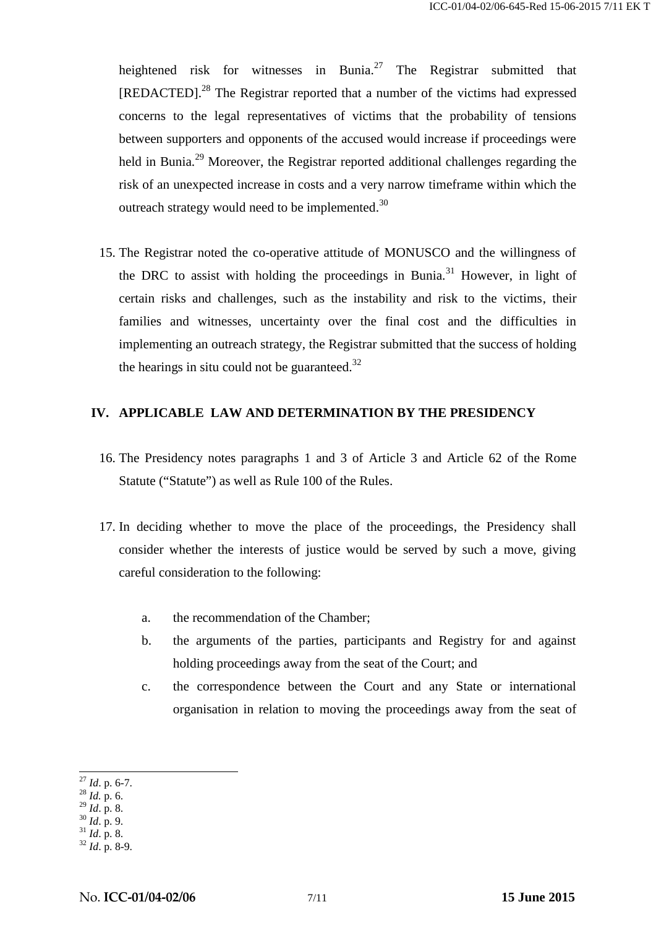heightened risk for witnesses in Bunia.<sup>27</sup> The Registrar submitted that [REDACTED].<sup>28</sup> The Registrar reported that a number of the victims had expressed concerns to the legal representatives of victims that the probability of tensions between supporters and opponents of the accused would increase if proceedings were held in Bunia.<sup>29</sup> Moreover, the Registrar reported additional challenges regarding the risk of an unexpected increase in costs and a very narrow timeframe within which the outreach strategy would need to be implemented.<sup>30</sup>

15. The Registrar noted the co-operative attitude of MONUSCO and the willingness of the DRC to assist with holding the proceedings in Bunia.<sup>31</sup> However, in light of certain risks and challenges, such as the instability and risk to the victims, their families and witnesses, uncertainty over the final cost and the difficulties in implementing an outreach strategy, the Registrar submitted that the success of holding the hearings in situ could not be guaranteed. $32$ 

### **IV. APPLICABLE LAW AND DETERMINATION BY THE PRESIDENCY**

- 16. The Presidency notes paragraphs 1 and 3 of Article 3 and Article 62 of the Rome Statute ("Statute") as well as Rule 100 of the Rules.
- 17. In deciding whether to move the place of the proceedings, the Presidency shall consider whether the interests of justice would be served by such a move, giving careful consideration to the following:
	- a. the recommendation of the Chamber;
	- b. the arguments of the parties, participants and Registry for and against holding proceedings away from the seat of the Court; and
	- c. the correspondence between the Court and any State or international organisation in relation to moving the proceedings away from the seat of

<sup>27</sup> *Id*. p. 6-7. <sup>28</sup> *Id.* p. 6.

<sup>29</sup> *Id*. p. 8. <sup>30</sup> *Id*. p. 9. <sup>31</sup> *Id*. p. 8. <sup>32</sup> *Id*. p. 8-9.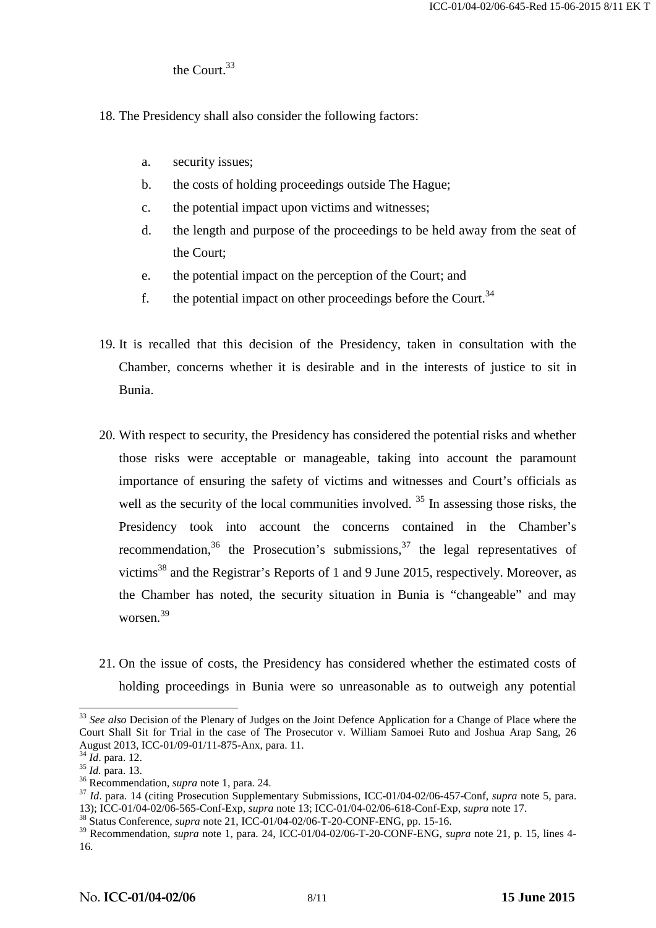### the Court  $33$

- 18. The Presidency shall also consider the following factors:
	- a. security issues;
	- b. the costs of holding proceedings outside The Hague;
	- c. the potential impact upon victims and witnesses;
	- d. the length and purpose of the proceedings to be held away from the seat of the Court;
	- e. the potential impact on the perception of the Court; and
	- f. the potential impact on other proceedings before the Court.<sup>34</sup>
- 19. It is recalled that this decision of the Presidency, taken in consultation with the Chamber, concerns whether it is desirable and in the interests of justice to sit in Bunia.
- 20. With respect to security, the Presidency has considered the potential risks and whether those risks were acceptable or manageable, taking into account the paramount importance of ensuring the safety of victims and witnesses and Court's officials as well as the security of the local communities involved.  $35$  In assessing those risks, the Presidency took into account the concerns contained in the Chamber's recommendation,<sup>36</sup> the Prosecution's submissions,<sup>37</sup> the legal representatives of victims<sup>38</sup> and the Registrar's Reports of 1 and 9 June 2015, respectively. Moreover, as the Chamber has noted, the security situation in Bunia is "changeable" and may worsen.<sup>39</sup>
- 21. On the issue of costs, the Presidency has considered whether the estimated costs of holding proceedings in Bunia were so unreasonable as to outweigh any potential

<sup>&</sup>lt;sup>33</sup> See also Decision of the Plenary of Judges on the Joint Defence Application for a Change of Place where the Court Shall Sit for Trial in the case of The Prosecutor v. William Samoei Ruto and Joshua Arap Sang, 26 August 2013, ICC-01/09-01/11-875-Anx, para. 11.<br>
<sup>34</sup> *Id.* para. 12.<br>
<sup>35</sup> *Id.* para. 13.<br>
<sup>36</sup> Recommendation, *supra* note 1, para. 24.<br>
<sup>37</sup> *Id.* para. 14 (citing Prosecution Supplementary Submissions, ICC-01/04-02/

<sup>13);</sup> ICC-01/04-02/06-565-Conf-Exp, *supra* note 13; ICC-01/04-02/06-618-Conf-Exp, *supra* note 17. <sup>38</sup> Status Conference, *supra* note 21, ICC-01/04-02/06-T-20-CONF-ENG, pp. 15-16.

<sup>&</sup>lt;sup>39</sup> Recommendation, *supra* note 1, para. 24, ICC-01/04-02/06-T-20-CONF-ENG, *supra* note 21, p. 15, lines 4-16.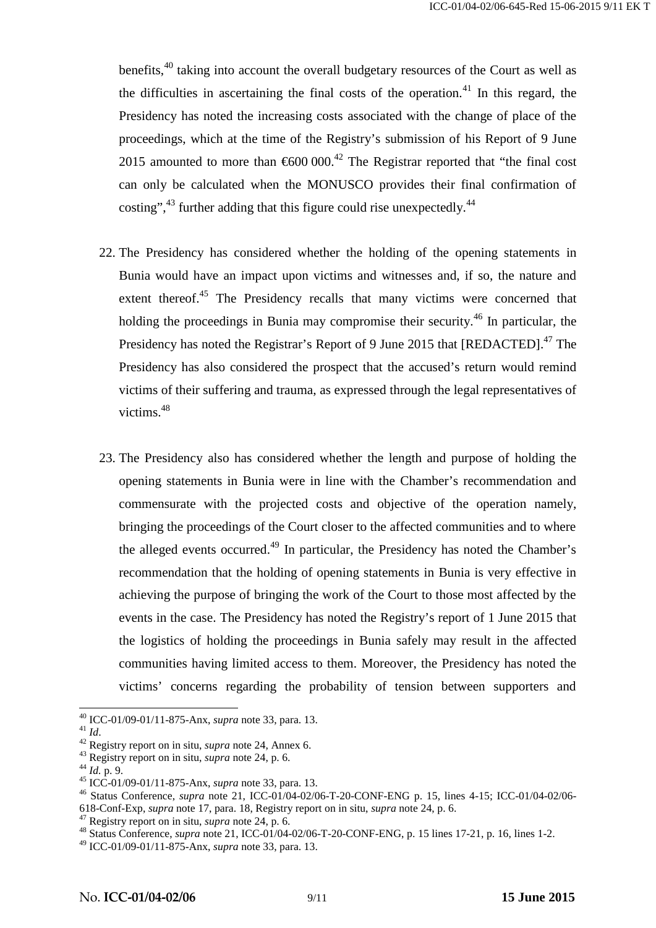benefits,<sup>40</sup> taking into account the overall budgetary resources of the Court as well as the difficulties in ascertaining the final costs of the operation.<sup>41</sup> In this regard, the Presidency has noted the increasing costs associated with the change of place of the proceedings, which at the time of the Registry's submission of his Report of 9 June 2015 amounted to more than  $600\,000$ .<sup>42</sup> The Registrar reported that "the final cost" can only be calculated when the MONUSCO provides their final confirmation of costing",<sup>43</sup> further adding that this figure could rise unexpectedly.<sup>44</sup>

- 22. The Presidency has considered whether the holding of the opening statements in Bunia would have an impact upon victims and witnesses and, if so, the nature and extent thereof.<sup>45</sup> The Presidency recalls that many victims were concerned that holding the proceedings in Bunia may compromise their security.<sup>46</sup> In particular, the Presidency has noted the Registrar's Report of 9 June 2015 that [REDACTED].<sup>47</sup> The Presidency has also considered the prospect that the accused's return would remind victims of their suffering and trauma, as expressed through the legal representatives of victims.<sup>48</sup>
- 23. The Presidency also has considered whether the length and purpose of holding the opening statements in Bunia were in line with the Chamber's recommendation and commensurate with the projected costs and objective of the operation namely, bringing the proceedings of the Court closer to the affected communities and to where the alleged events occurred.<sup>49</sup> In particular, the Presidency has noted the Chamber's recommendation that the holding of opening statements in Bunia is very effective in achieving the purpose of bringing the work of the Court to those most affected by the events in the case. The Presidency has noted the Registry's report of 1 June 2015 that the logistics of holding the proceedings in Bunia safely may result in the affected communities having limited access to them. Moreover, the Presidency has noted the victims' concerns regarding the probability of tension between supporters and

<sup>&</sup>lt;sup>40</sup> ICC-01/09-01/11-875-Anx, *supra* note 33, para. 13.<br>
<sup>41</sup> Id.<br>
<sup>42</sup> Registry report on in situ, *supra* note 24, Annex 6.<br>
<sup>43</sup> Registry report on in situ, *supra* note 24, p. 6.<br>
<sup>44</sup> Id. p. 9.<br>
<sup>45</sup> ICC-01/09-01/11

<sup>&</sup>lt;sup>47</sup> Registry report on in situ, *supra* note 24, p. 6.<br><sup>48</sup> Status Conference, *supra* note 21, ICC-01/04-02/06-T-20-CONF-ENG, p. 15 lines 17-21, p. 16, lines 1-2.

<sup>49</sup> ICC-01/09-01/11-875-Anx, *supra* note 33, para. 13.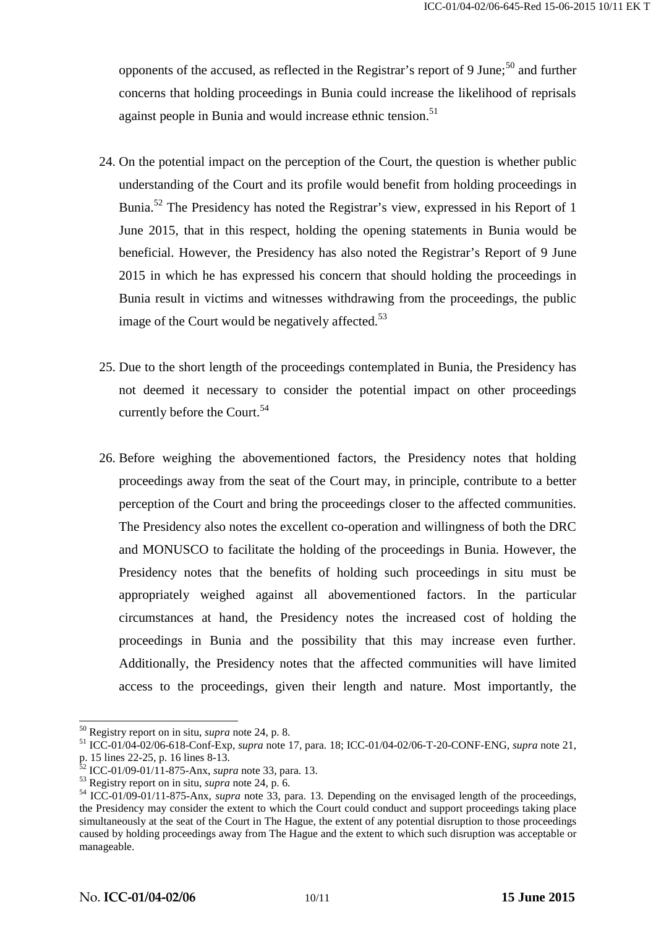opponents of the accused, as reflected in the Registrar's report of 9 June;  $50^{\circ}$  and further concerns that holding proceedings in Bunia could increase the likelihood of reprisals against people in Bunia and would increase ethnic tension.<sup>51</sup>

- 24. On the potential impact on the perception of the Court, the question is whether public understanding of the Court and its profile would benefit from holding proceedings in Bunia.<sup>52</sup> The Presidency has noted the Registrar's view, expressed in his Report of 1 June 2015, that in this respect, holding the opening statements in Bunia would be beneficial. However, the Presidency has also noted the Registrar's Report of 9 June 2015 in which he has expressed his concern that should holding the proceedings in Bunia result in victims and witnesses withdrawing from the proceedings, the public image of the Court would be negatively affected.<sup>53</sup>
- 25. Due to the short length of the proceedings contemplated in Bunia, the Presidency has not deemed it necessary to consider the potential impact on other proceedings currently before the Court.<sup>54</sup>
- 26. Before weighing the abovementioned factors, the Presidency notes that holding proceedings away from the seat of the Court may, in principle, contribute to a better perception of the Court and bring the proceedings closer to the affected communities. The Presidency also notes the excellent co-operation and willingness of both the DRC and MONUSCO to facilitate the holding of the proceedings in Bunia. However, the Presidency notes that the benefits of holding such proceedings in situ must be appropriately weighed against all abovementioned factors. In the particular circumstances at hand, the Presidency notes the increased cost of holding the proceedings in Bunia and the possibility that this may increase even further. Additionally, the Presidency notes that the affected communities will have limited access to the proceedings, given their length and nature. Most importantly, the

<sup>&</sup>lt;sup>50</sup> Registry report on in situ, *supra* note 24, p. 8.<br>
<sup>51</sup> ICC-01/04-02/06-618-Conf-Exp, *supra* note 17, para. 18; ICC-01/04-02/06-T-20-CONF-ENG, *supra* note 21,<br>
p. 15 lines 22-25, p. 16 lines 8-13.<br>
<sup>52</sup> ICC-01/09-0

<sup>&</sup>lt;sup>53</sup> Registry report on in situ, *supra* note 24, p. 6.<br><sup>54</sup> ICC-01/09-01/11-875-Anx, *supra* note 33, para. 13. Depending on the envisaged length of the proceedings, the Presidency may consider the extent to which the Court could conduct and support proceedings taking place simultaneously at the seat of the Court in The Hague, the extent of any potential disruption to those proceedings caused by holding proceedings away from The Hague and the extent to which such disruption was acceptable or manageable.